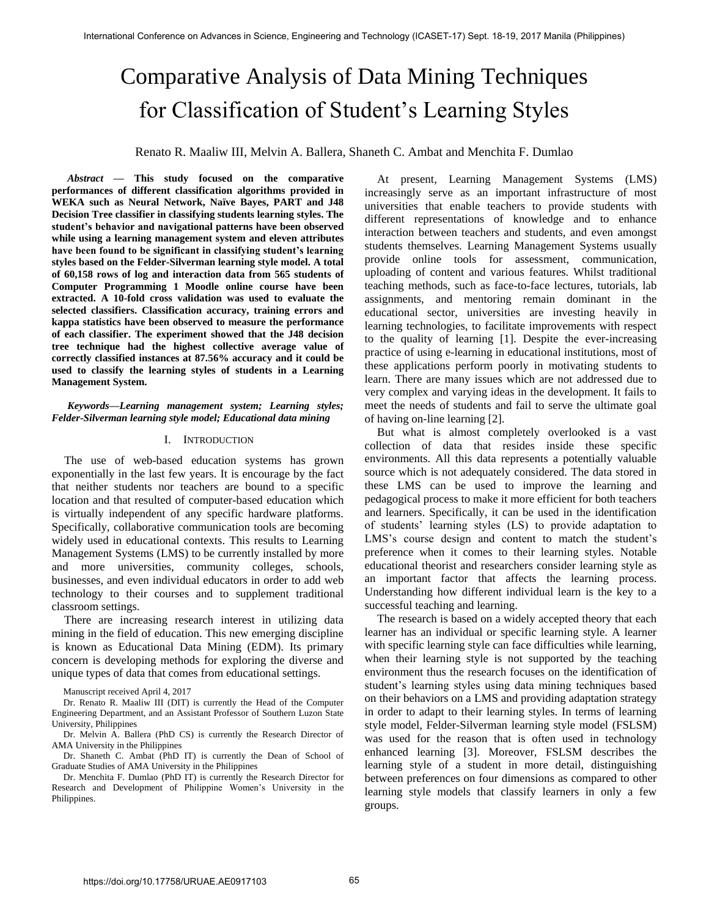# Comparative Analysis of Data Mining Techniques for Classification of Student's Learning Styles

Renato R. Maaliw III, Melvin A. Ballera, Shaneth C. Ambat and Menchita F. Dumlao

*Abstract* **— This study focused on the comparative performances of different classification algorithms provided in WEKA such as Neural Network, Naïve Bayes, PART and J48 Decision Tree classifier in classifying students learning styles. The student's behavior and navigational patterns have been observed while using a learning management system and eleven attributes have been found to be significant in classifying student's learning styles based on the Felder-Silverman learning style model. A total of 60,158 rows of log and interaction data from 565 students of Computer Programming 1 Moodle online course have been extracted. A 10-fold cross validation was used to evaluate the selected classifiers. Classification accuracy, training errors and kappa statistics have been observed to measure the performance of each classifier. The experiment showed that the J48 decision tree technique had the highest collective average value of correctly classified instances at 87.56% accuracy and it could be used to classify the learning styles of students in a Learning Management System.**

# *Keywords—Learning management system; Learning styles; Felder-Silverman learning style model; Educational data mining*

## I. INTRODUCTION

The use of web-based education systems has grown exponentially in the last few years. It is encourage by the fact that neither students nor teachers are bound to a specific location and that resulted of computer-based education which is virtually independent of any specific hardware platforms. Specifically, collaborative communication tools are becoming widely used in educational contexts. This results to Learning Management Systems (LMS) to be currently installed by more and more universities, community colleges, schools, businesses, and even individual educators in order to add web technology to their courses and to supplement traditional classroom settings.

There are increasing research interest in utilizing data mining in the field of education. This new emerging discipline is known as Educational Data Mining (EDM). Its primary concern is developing methods for exploring the diverse and unique types of data that comes from educational settings.

Dr. Menchita F. Dumlao (PhD IT) is currently the Research Director for Research and Development of Philippine Women's University in the Philippines.

At present, Learning Management Systems (LMS) increasingly serve as an important infrastructure of most universities that enable teachers to provide students with different representations of knowledge and to enhance interaction between teachers and students, and even amongst students themselves. Learning Management Systems usually provide online tools for assessment, communication, uploading of content and various features. Whilst traditional teaching methods, such as face-to-face lectures, tutorials, lab assignments, and mentoring remain dominant in the educational sector, universities are investing heavily in learning technologies, to facilitate improvements with respect to the quality of learning [1]. Despite the ever-increasing practice of using e-learning in educational institutions, most of these applications perform poorly in motivating students to learn. There are many issues which are not addressed due to very complex and varying ideas in the development. It fails to meet the needs of students and fail to serve the ultimate goal of having on-line learning [2].

But what is almost completely overlooked is a vast collection of data that resides inside these specific environments. All this data represents a potentially valuable source which is not adequately considered. The data stored in these LMS can be used to improve the learning and pedagogical process to make it more efficient for both teachers and learners. Specifically, it can be used in the identification of students' learning styles (LS) to provide adaptation to LMS's course design and content to match the student's preference when it comes to their learning styles. Notable educational theorist and researchers consider learning style as an important factor that affects the learning process. Understanding how different individual learn is the key to a successful teaching and learning.

The research is based on a widely accepted theory that each learner has an individual or specific learning style. A learner with specific learning style can face difficulties while learning, when their learning style is not supported by the teaching environment thus the research focuses on the identification of student's learning styles using data mining techniques based on their behaviors on a LMS and providing adaptation strategy in order to adapt to their learning styles. In terms of learning style model, Felder-Silverman learning style model (FSLSM) was used for the reason that is often used in technology enhanced learning [3]. Moreover, FSLSM describes the learning style of a student in more detail, distinguishing between preferences on four dimensions as compared to other learning style models that classify learners in only a few groups.

Manuscript received April 4, 2017

Dr. Renato R. Maaliw III (DIT) is currently the Head of the Computer Engineering Department, and an Assistant Professor of Southern Luzon State University, Philippines

Dr. Melvin A. Ballera (PhD CS) is currently the Research Director of AMA University in the Philippines

Dr. Shaneth C. Ambat (PhD IT) is currently the Dean of School of Graduate Studies of AMA University in the Philippines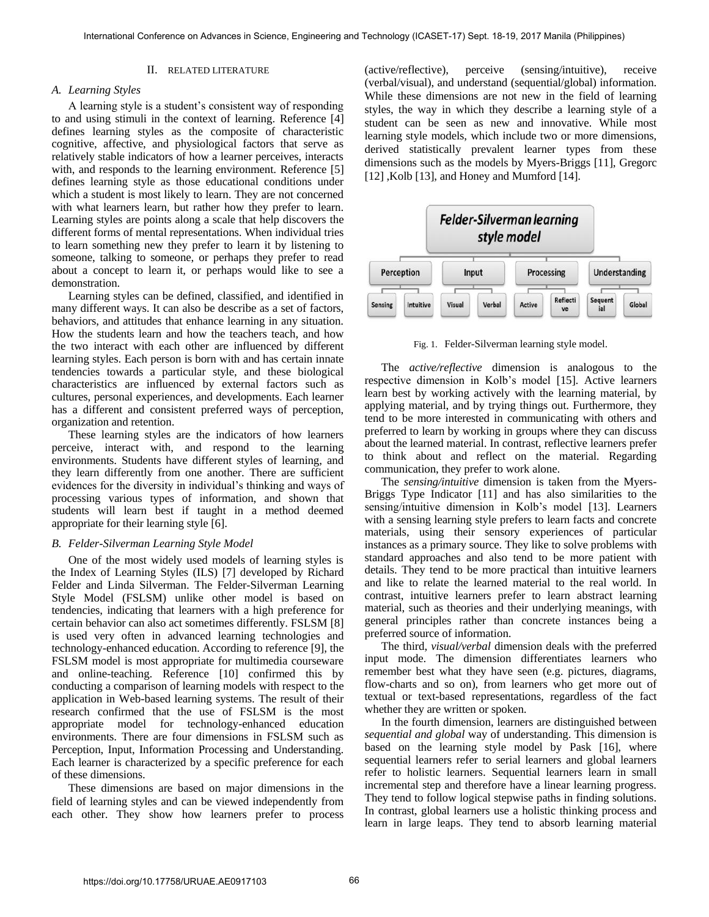# II. RELATED LITERATURE

# *A. Learning Styles*

A learning style is a student's consistent way of responding to and using stimuli in the context of learning. Reference [4] defines learning styles as the composite of characteristic cognitive, affective, and physiological factors that serve as relatively stable indicators of how a learner perceives, interacts with, and responds to the learning environment. Reference [5] defines learning style as those educational conditions under which a student is most likely to learn. They are not concerned with what learners learn, but rather how they prefer to learn. Learning styles are points along a scale that help discovers the different forms of mental representations. When individual tries to learn something new they prefer to learn it by listening to someone, talking to someone, or perhaps they prefer to read about a concept to learn it, or perhaps would like to see a demonstration.

Learning styles can be defined, classified, and identified in many different ways. It can also be describe as a set of factors, behaviors, and attitudes that enhance learning in any situation. How the students learn and how the teachers teach, and how the two interact with each other are influenced by different learning styles. Each person is born with and has certain innate tendencies towards a particular style, and these biological characteristics are influenced by external factors such as cultures, personal experiences, and developments. Each learner has a different and consistent preferred ways of perception, organization and retention.

These learning styles are the indicators of how learners perceive, interact with, and respond to the learning environments. Students have different styles of learning, and they learn differently from one another. There are sufficient evidences for the diversity in individual's thinking and ways of processing various types of information, and shown that students will learn best if taught in a method deemed appropriate for their learning style [6].

### *B. Felder-Silverman Learning Style Model*

One of the most widely used models of learning styles is the Index of Learning Styles (ILS) [7] developed by Richard Felder and Linda Silverman. The Felder-Silverman Learning Style Model (FSLSM) unlike other model is based on tendencies, indicating that learners with a high preference for certain behavior can also act sometimes differently. FSLSM [8] is used very often in advanced learning technologies and technology-enhanced education. According to reference [9], the FSLSM model is most appropriate for multimedia courseware and online-teaching. Reference [10] confirmed this by conducting a comparison of learning models with respect to the application in Web-based learning systems. The result of their research confirmed that the use of FSLSM is the most appropriate model for technology-enhanced education environments. There are four dimensions in FSLSM such as Perception, Input, Information Processing and Understanding. Each learner is characterized by a specific preference for each of these dimensions.

These dimensions are based on major dimensions in the field of learning styles and can be viewed independently from each other. They show how learners prefer to process

(active/reflective), perceive (sensing/intuitive), receive (verbal/visual), and understand (sequential/global) information. While these dimensions are not new in the field of learning styles, the way in which they describe a learning style of a student can be seen as new and innovative. While most learning style models, which include two or more dimensions, derived statistically prevalent learner types from these dimensions such as the models by Myers-Briggs [11], Gregorc [12] , Kolb [13], and Honey and Mumford [14].



Fig. 1. Felder-Silverman learning style model.

The *active/reflective* dimension is analogous to the respective dimension in Kolb's model [15]. Active learners learn best by working actively with the learning material, by applying material, and by trying things out. Furthermore, they tend to be more interested in communicating with others and preferred to learn by working in groups where they can discuss about the learned material. In contrast, reflective learners prefer to think about and reflect on the material. Regarding communication, they prefer to work alone.

The *sensing/intuitive* dimension is taken from the Myers-Briggs Type Indicator [11] and has also similarities to the sensing/intuitive dimension in Kolb's model [13]. Learners with a sensing learning style prefers to learn facts and concrete materials, using their sensory experiences of particular instances as a primary source. They like to solve problems with standard approaches and also tend to be more patient with details. They tend to be more practical than intuitive learners and like to relate the learned material to the real world. In contrast, intuitive learners prefer to learn abstract learning material, such as theories and their underlying meanings, with general principles rather than concrete instances being a preferred source of information.

The third, *visual/verbal* dimension deals with the preferred input mode. The dimension differentiates learners who remember best what they have seen (e.g. pictures, diagrams, flow-charts and so on), from learners who get more out of textual or text-based representations, regardless of the fact whether they are written or spoken.

In the fourth dimension, learners are distinguished between *sequential and global* way of understanding. This dimension is based on the learning style model by Pask [16], where sequential learners refer to serial learners and global learners refer to holistic learners. Sequential learners learn in small incremental step and therefore have a linear learning progress. They tend to follow logical stepwise paths in finding solutions. In contrast, global learners use a holistic thinking process and learn in large leaps. They tend to absorb learning material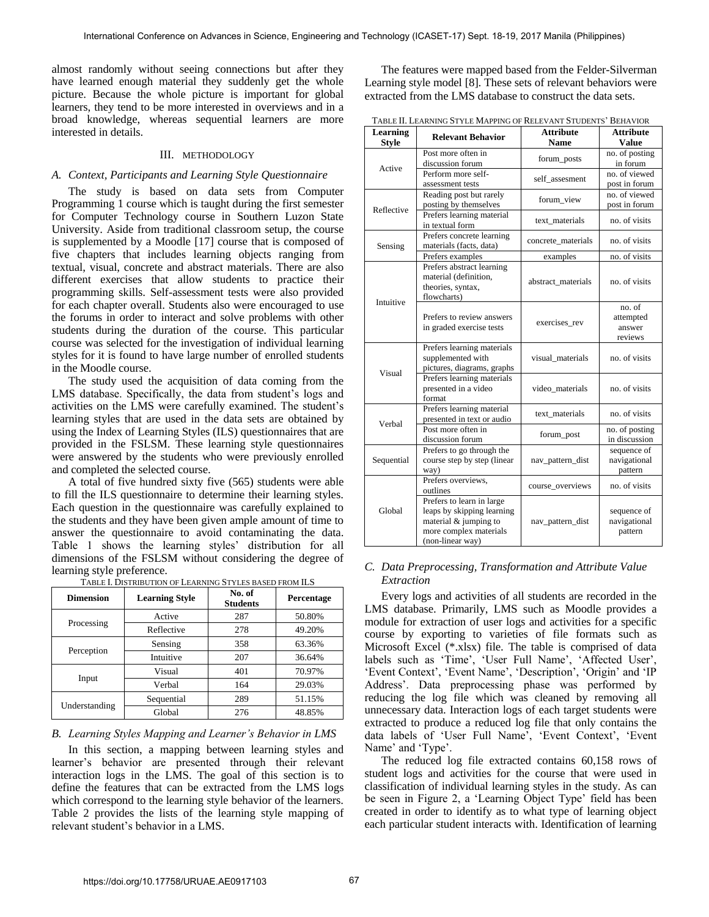almost randomly without seeing connections but after they have learned enough material they suddenly get the whole picture. Because the whole picture is important for global learners, they tend to be more interested in overviews and in a broad knowledge, whereas sequential learners are more interested in details.

# III. METHODOLOGY

# *A. Context, Participants and Learning Style Questionnaire*

The study is based on data sets from Computer Programming 1 course which is taught during the first semester for Computer Technology course in Southern Luzon State University. Aside from traditional classroom setup, the course is supplemented by a Moodle [17] course that is composed of five chapters that includes learning objects ranging from textual, visual, concrete and abstract materials. There are also different exercises that allow students to practice their programming skills. Self-assessment tests were also provided for each chapter overall. Students also were encouraged to use the forums in order to interact and solve problems with other students during the duration of the course. This particular course was selected for the investigation of individual learning styles for it is found to have large number of enrolled students in the Moodle course.

The study used the acquisition of data coming from the LMS database. Specifically, the data from student's logs and activities on the LMS were carefully examined. The student's learning styles that are used in the data sets are obtained by using the Index of Learning Styles (ILS) questionnaires that are provided in the FSLSM. These learning style questionnaires were answered by the students who were previously enrolled and completed the selected course.

A total of five hundred sixty five (565) students were able to fill the ILS questionnaire to determine their learning styles. Each question in the questionnaire was carefully explained to the students and they have been given ample amount of time to answer the questionnaire to avoid contaminating the data. Table 1 shows the learning styles' distribution for all dimensions of the FSLSM without considering the degree of learning style preference.

| <b>Dimension</b> | <b>Learning Style</b> | No. of<br><b>Students</b> | Percentage |
|------------------|-----------------------|---------------------------|------------|
|                  | Active                | 287                       | 50.80%     |
| Processing       | Reflective            | 278                       | 49.20%     |
|                  | Sensing               | 358                       | 63.36%     |
| Perception       | Intuitive             | 207                       | 36.64%     |
|                  | Visual                | 401                       | 70.97%     |
| Input            | Verbal                | 164                       | 29.03%     |
|                  | Sequential            | 289                       | 51.15%     |
| Understanding    | Global                | 276                       | 48.85%     |

TABLE I. DISTRIBUTION OF LEARNING STYLES BASED FROM ILS

# *B. Learning Styles Mapping and Learner's Behavior in LMS*

In this section, a mapping between learning styles and learner's behavior are presented through their relevant interaction logs in the LMS. The goal of this section is to define the features that can be extracted from the LMS logs which correspond to the learning style behavior of the learners. Table 2 provides the lists of the learning style mapping of relevant student's behavior in a LMS.

The features were mapped based from the Felder-Silverman Learning style model [8]. These sets of relevant behaviors were extracted from the LMS database to construct the data sets.

| TABLE II. LEARNING STYLE MAPPING OF RELEVANT STUDENTS' BEHAVIOR |  |
|-----------------------------------------------------------------|--|
|                                                                 |  |

| Learning<br><b>Style</b>                                                       | <b>Relevant Behavior</b>                                                                                                       | <b>Attribute</b><br><b>Name</b> | <b>Attribute</b><br><b>Value</b>         |
|--------------------------------------------------------------------------------|--------------------------------------------------------------------------------------------------------------------------------|---------------------------------|------------------------------------------|
|                                                                                | Post more often in<br>discussion forum                                                                                         | forum_posts                     | no. of posting<br>in forum               |
| Active                                                                         | Perform more self-<br>assessment tests                                                                                         | self_assesment                  | no. of viewed<br>post in forum           |
| Reflective                                                                     | Reading post but rarely<br>posting by themselves                                                                               | forum view                      | no. of viewed<br>post in forum           |
|                                                                                | Prefers learning material<br>in textual form                                                                                   | text materials                  | no. of visits                            |
| Sensing                                                                        | Prefers concrete learning<br>materials (facts, data)                                                                           | concrete materials              | no. of visits                            |
|                                                                                | Prefers examples                                                                                                               | examples                        | no. of visits                            |
| Intuitive                                                                      | Prefers abstract learning<br>material (definition,<br>theories, syntax,<br>flowcharts)                                         | abstract materials              | no. of visits                            |
|                                                                                | Prefers to review answers<br>in graded exercise tests                                                                          | exercises rev                   | no. of<br>attempted<br>answer<br>reviews |
| Visual                                                                         | Prefers learning materials<br>supplemented with<br>pictures, diagrams, graphs                                                  | visual materials                | no. of visits                            |
|                                                                                | Prefers learning materials<br>presented in a video<br>format                                                                   | video materials                 | no. of visits                            |
| Verbal                                                                         | Prefers learning material<br>presented in text or audio                                                                        | text_materials                  | no. of visits                            |
|                                                                                | Post more often in<br>discussion forum                                                                                         | forum_post                      | no. of posting<br>in discussion          |
| Prefers to go through the<br>Sequential<br>course step by step (linear<br>way) |                                                                                                                                | nav_pattern_dist                | sequence of<br>navigational<br>pattern   |
|                                                                                | Prefers overviews,<br>outlines                                                                                                 | course overviews                | no. of visits                            |
| Global                                                                         | Prefers to learn in large<br>leaps by skipping learning<br>material & jumping to<br>more complex materials<br>(non-linear way) | nav_pattern_dist                | sequence of<br>navigational<br>pattern   |

# *C. Data Preprocessing, Transformation and Attribute Value Extraction*

Every logs and activities of all students are recorded in the LMS database. Primarily, LMS such as Moodle provides a module for extraction of user logs and activities for a specific course by exporting to varieties of file formats such as Microsoft Excel (\*.xlsx) file. The table is comprised of data labels such as 'Time', 'User Full Name', 'Affected User', 'Event Context', 'Event Name', 'Description', 'Origin' and 'IP Address'. Data preprocessing phase was performed by reducing the log file which was cleaned by removing all unnecessary data. Interaction logs of each target students were extracted to produce a reduced log file that only contains the data labels of 'User Full Name', 'Event Context', 'Event Name' and 'Type'.

The reduced log file extracted contains 60,158 rows of student logs and activities for the course that were used in classification of individual learning styles in the study. As can be seen in Figure 2, a 'Learning Object Type' field has been created in order to identify as to what type of learning object each particular student interacts with. Identification of learning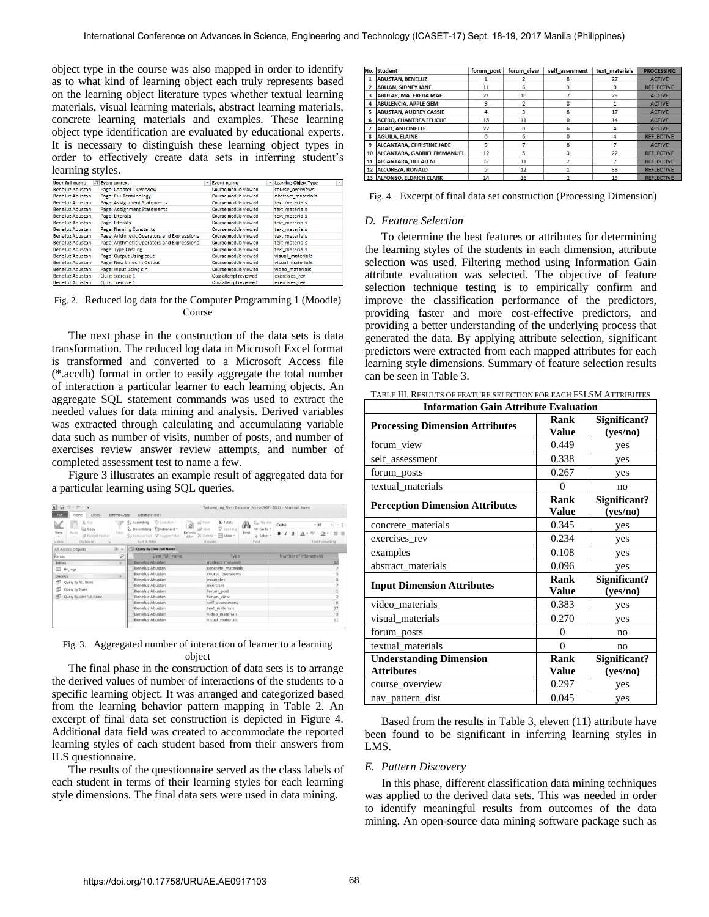object type in the course was also mapped in order to identify as to what kind of learning object each truly represents based on the learning object literature types whether textual learning materials, visual learning materials, abstract learning materials, concrete learning materials and examples. These learning object type identification are evaluated by educational experts. It is necessary to distinguish these learning object types in order to effectively create data sets in inferring student's learning styles.

| User full name  | $\overline{X}$ Event context               | ۰ | <b>Event name</b>     | $\mathbf{v}$ | <b>Learning Object Type</b> | $\mathbf{v}$ |
|-----------------|--------------------------------------------|---|-----------------------|--------------|-----------------------------|--------------|
| Beneluz Abustan | Page: Chapter 1 Overview                   |   | Course module viewed  |              | course overviews            |              |
| Beneluz Abustan | Page: C++ Terminology                      |   | Course module viewed  |              | abstract materials          |              |
| Beneluz Abustan | <b>Page: Assignment Statements</b>         |   | Course module viewed  |              | text materials              |              |
| Beneluz Abustan | Page: Assignment Statements                |   | Course module viewed  |              | text materials              |              |
| Beneluz Abustan | Page: Literals                             |   | Course module viewed  |              | text materials              |              |
| Beneluz Abustan | Page: Literals                             |   | Course module viewed  |              | text materials              |              |
| Beneluz Abustan | Page: Naming Constants                     |   | Course module viewed  |              | text materials              |              |
| Beneluz Abustan | Page: Arithmetic Operators and Expressions |   | Course module viewed  |              | text materials              |              |
| Beneluz Abustan | Page: Arithmetic Operators and Expressions |   | Course module viewed  |              | text materials              |              |
| Beneluz Abustan | Page: Type Casting                         |   | Course module viewed  |              | text materials              |              |
| Beneluz Abustan | Page: Output Using cout                    |   | Course module viewed  |              | visual materials            |              |
| Beneluz Abustan | Page: New Lines in Output                  |   | Course module viewed  |              | visual_materials            |              |
| Beneluz Abustan | Page: Input using cin                      |   | Course module viewed  |              | video materials             |              |
| Beneluz Abustan | Quiz: Exercise 1                           |   | Quiz attempt reviewed |              | exercises rev               |              |
| Beneluz Abustan | Quiz: Exercise 1                           |   | Quiz attempt reviewed |              | exercises rev               |              |

Fig. 2. Reduced log data for the Computer Programming 1 (Moodle) Course

The next phase in the construction of the data sets is data transformation. The reduced log data in Microsoft Excel format is transformed and converted to a Microsoft Access file (\*.accdb) format in order to easily aggregate the total number of interaction a particular learner to each learning objects. An aggregate SQL statement commands was used to extract the needed values for data mining and analysis. Derived variables was extracted through calculating and accumulating variable data such as number of visits, number of posts, and number of exercises review answer review attempts, and number of completed assessment test to name a few.

Figure 3 illustrates an example result of aggregated data for a particular learning using SQL queries.

| File.<br>Home<br>Create                                                                                    | <b>External Data</b> | Database Tools                                                                                                         |                                                                                                                           |                                                         |                                                            |                                          |
|------------------------------------------------------------------------------------------------------------|----------------------|------------------------------------------------------------------------------------------------------------------------|---------------------------------------------------------------------------------------------------------------------------|---------------------------------------------------------|------------------------------------------------------------|------------------------------------------|
| & Cut<br>m.<br>ا ا<br><b>Ra</b> Copy<br>Paste<br>View<br>Format Painter<br>×<br>Clipboard<br>Views:<br>74. | Filter:              | Vs Selection -<br>2. Ascending<br>Descending Vill Advanced -<br><b>So Remove Sort V Toggle Filter</b><br>Sort & Filter | $\Sigma$ Totals<br>mi <sup>2</sup> New<br>ø<br>=B Save<br>Spelling<br>Refresh<br>X Delete - INMore -<br>$AH =$<br>Records | Replace<br>Ä<br>= Go To +<br>Find<br>& Select =<br>Find | Calibri<br>$-11$<br>$B$ $I$<br>U<br><b>Text Formatting</b> | • 三 三                                    |
| All Access Objects                                                                                         | $\odot$ $\alpha$     | ria.<br>Query By User Full Name                                                                                        |                                                                                                                           |                                                         |                                                            |                                          |
| Search                                                                                                     | Þ                    | User_full_name                                                                                                         | ×                                                                                                                         | Type<br>÷                                               | Number of interactions                                     |                                          |
| Tables                                                                                                     | $\hat{\mathbf{x}}$   | Beneluz Abustan                                                                                                        | abstract materials                                                                                                        |                                                         |                                                            | 12                                       |
| tbl_logs                                                                                                   |                      | Beneluz Abustan                                                                                                        | concrete materials                                                                                                        |                                                         |                                                            | $\overline{\phantom{a}}$                 |
| <b>Queries</b>                                                                                             | $\frac{1}{2}$        | Beneluz Abustan                                                                                                        | course overviews                                                                                                          |                                                         |                                                            | $\overline{\mathbf{3}}$                  |
| ₫<br>Query By ALL Users                                                                                    |                      | Beneluz Abustan                                                                                                        | examples                                                                                                                  |                                                         |                                                            | $\frac{4}{7}$                            |
|                                                                                                            |                      | Beneluz Abustan                                                                                                        | exercises                                                                                                                 |                                                         |                                                            |                                          |
| 卓<br>Query By Types                                                                                        |                      | Beneluz Abustan                                                                                                        | forum post                                                                                                                |                                                         |                                                            |                                          |
| Query By User Full Name                                                                                    |                      | Beneluz Abustan                                                                                                        | forum view                                                                                                                |                                                         |                                                            |                                          |
|                                                                                                            |                      | Beneluz Abustan                                                                                                        | self assessment                                                                                                           |                                                         |                                                            |                                          |
|                                                                                                            |                      | <b>Beneluz Abustan</b>                                                                                                 | text materials                                                                                                            |                                                         |                                                            | $\frac{1}{2}$<br>$\frac{1}{27}$          |
|                                                                                                            |                      | <b>Beneluz Abustan</b>                                                                                                 | video materials                                                                                                           |                                                         |                                                            | $\begin{array}{c}\n9 \\ 11\n\end{array}$ |
|                                                                                                            |                      | <b>Beneluz Abustan</b>                                                                                                 | visual materials                                                                                                          |                                                         |                                                            |                                          |

## Fig. 3. Aggregated number of interaction of learner to a learning object

The final phase in the construction of data sets is to arrange the derived values of number of interactions of the students to a specific learning object. It was arranged and categorized based from the learning behavior pattern mapping in Table 2. An excerpt of final data set construction is depicted in Figure 4. Additional data field was created to accommodate the reported learning styles of each student based from their answers from ILS questionnaire.

The results of the questionnaire served as the class labels of each student in terms of their learning styles for each learning style dimensions. The final data sets were used in data mining.

|                | No. Student                      | forum post | forum view     | self assesment | text materials | <b>PROCESSING</b> |
|----------------|----------------------------------|------------|----------------|----------------|----------------|-------------------|
|                | <b>ABUSTAN, BENELUZ</b>          |            |                | 8              | 27             | <b>ACTIVE</b>     |
| $\overline{2}$ | <b>ABUAN, SIDNEY JANE</b>        | 11         | 6              | 3              | o              | <b>REFLECTIVE</b> |
| 3              | ABULAR, MA, FREDA MAE            | 21         | 10             | 7              | 29             | <b>ACTIVE</b>     |
| 4              | <b>ABULENCIA, APPLE GEM</b>      | 9          | $\overline{2}$ | $\mathbf{R}$   |                | <b>ACTIVE</b>     |
| 5              | <b>ABUSTAN, AUDREY CASSIE</b>    | 4          | 3              | 8              | 17             | <b>ACTIVE</b>     |
| 6              | <b>ACERO, CHANTREA FELICHE</b>   | 15         | 11             | $\mathbf 0$    | 14             | <b>ACTIVE</b>     |
| 7              | <b>ADAO, ANTONETTE</b>           | 22         | 0              | 6              | 4              | <b>ACTIVE</b>     |
| 8              | <b>AGUILA, ELAINE</b>            | $\Omega$   | 6              | $\mathbf 0$    |                | <b>REFLECTIVE</b> |
| q              | ALCANTARA, CHRISTINE JADE        | 9          |                | 8              |                | <b>ACTIVE</b>     |
| 10             | ALCANTARA, GABRIEL EMMANUEL      | 12         | 5              | 3              | 22             | <b>REFLECTIVE</b> |
| 11             | <b>ALCANTARA, RHEALENE</b>       | 6          | 11             | $\overline{2}$ |                | <b>REFLECTIVE</b> |
| 12             | ALCOREZA, RONALD                 | 5          | 12             | 1              | 38             | <b>REFLECTIVE</b> |
|                | <b>13 ALFONSO, ELDRICH CLARK</b> | 14         | 16             | o              | 19             | <b>REFLECTIVE</b> |

Fig. 4. Excerpt of final data set construction (Processing Dimension)

#### *D. Feature Selection*

To determine the best features or attributes for determining the learning styles of the students in each dimension, attribute selection was used. Filtering method using Information Gain attribute evaluation was selected. The objective of feature selection technique testing is to empirically confirm and improve the classification performance of the predictors, providing faster and more cost-effective predictors, and providing a better understanding of the underlying process that generated the data. By applying attribute selection, significant predictors were extracted from each mapped attributes for each learning style dimensions. Summary of feature selection results can be seen in Table 3.

TABLE III. RESULTS OF FEATURE SELECTION FOR EACH FSLSM ATTRIBUTES

| <b>Information Gain Attribute Evaluation</b> |                      |                          |  |  |  |
|----------------------------------------------|----------------------|--------------------------|--|--|--|
| <b>Processing Dimension Attributes</b>       | Rank<br><b>Value</b> | Significant?<br>(yes/no) |  |  |  |
| forum_view                                   | 0.449                | yes                      |  |  |  |
| self assessment                              | 0.338                | yes                      |  |  |  |
| forum posts                                  | 0.267                | yes                      |  |  |  |
| textual_materials                            | $\Omega$             | no                       |  |  |  |
| <b>Perception Dimension Attributes</b>       | Rank<br>Value        | Significant?<br>(yes/no) |  |  |  |
| concrete_materials                           | 0.345                | yes                      |  |  |  |
| exercises_rev                                | 0.234                | yes                      |  |  |  |
| examples                                     | 0.108                | yes                      |  |  |  |
| abstract_materials                           | 0.096                | yes                      |  |  |  |
| <b>Input Dimension Attributes</b>            | Rank<br>Value        | Significant?<br>(yes/no) |  |  |  |
| video_materials                              | 0.383                | yes                      |  |  |  |
| visual materials                             | 0.270                | yes                      |  |  |  |
| forum_posts                                  | 0                    | no                       |  |  |  |
| textual materials                            | $\Omega$             | no                       |  |  |  |
| <b>Understanding Dimension</b>               | Rank                 | Significant?             |  |  |  |
| <b>Attributes</b>                            | Value                | (yes/no)                 |  |  |  |
| course_overview                              | 0.297                | yes                      |  |  |  |
| nav_pattern_dist                             | 0.045                | yes                      |  |  |  |

Based from the results in Table 3, eleven (11) attribute have been found to be significant in inferring learning styles in LMS.

#### *E. Pattern Discovery*

 In this phase, different classification data mining techniques was applied to the derived data sets. This was needed in order to identify meaningful results from outcomes of the data mining. An open-source data mining software package such as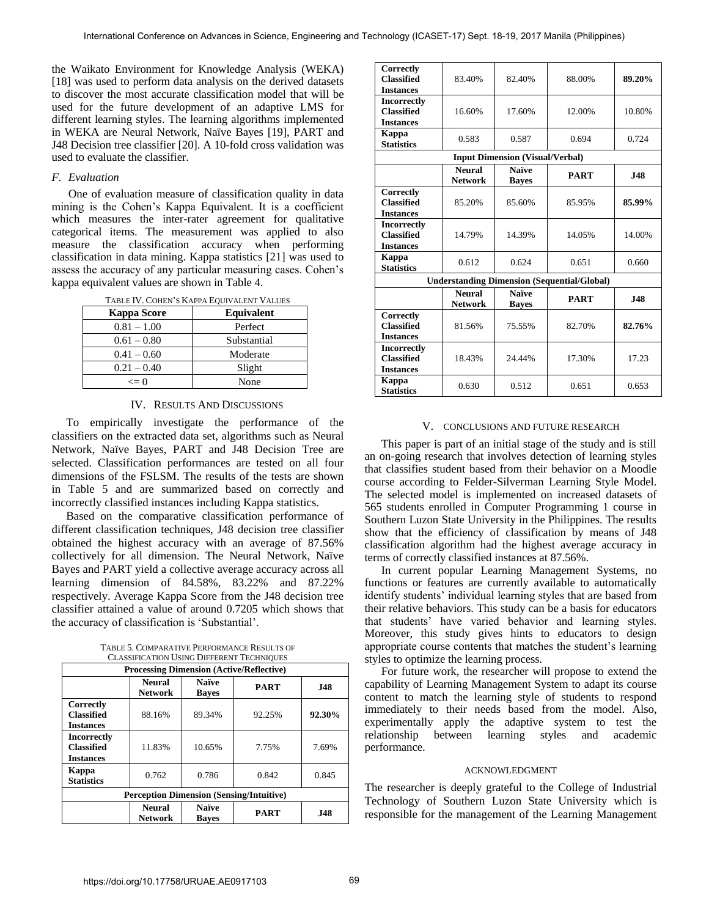the Waikato Environment for Knowledge Analysis (WEKA) [18] was used to perform data analysis on the derived datasets to discover the most accurate classification model that will be used for the future development of an adaptive LMS for different learning styles. The learning algorithms implemented in WEKA are Neural Network, Naïve Bayes [19], PART and J48 Decision tree classifier [20]. A 10-fold cross validation was used to evaluate the classifier.

# *F. Evaluation*

One of evaluation measure of classification quality in data mining is the Cohen's Kappa Equivalent. It is a coefficient which measures the inter-rater agreement for qualitative categorical items. The measurement was applied to also measure the classification accuracy when performing classification in data mining. Kappa statistics [21] was used to assess the accuracy of any particular measuring cases. Cohen's kappa equivalent values are shown in Table 4.

| <b>Kappa Score</b> | Equivalent  |
|--------------------|-------------|
| $0.81 - 1.00$      | Perfect     |
| $0.61 - 0.80$      | Substantial |
| $0.41 - 0.60$      | Moderate    |
| $0.21 - 0.40$      | Slight      |
| $\leq$ 0           | None        |

# IV. RESULTS AND DISCUSSIONS

 To empirically investigate the performance of the classifiers on the extracted data set, algorithms such as Neural Network, Naïve Bayes, PART and J48 Decision Tree are selected. Classification performances are tested on all four dimensions of the FSLSM. The results of the tests are shown in Table 5 and are summarized based on correctly and incorrectly classified instances including Kappa statistics.

 Based on the comparative classification performance of different classification techniques, J48 decision tree classifier obtained the highest accuracy with an average of 87.56% collectively for all dimension. The Neural Network, Naïve Bayes and PART yield a collective average accuracy across all learning dimension of 84.58%, 83.22% and 87.22% respectively. Average Kappa Score from the J48 decision tree classifier attained a value of around 0.7205 which shows that the accuracy of classification is 'Substantial'.

| TABLE 5. COMPARATIVE PERFORMANCE RESULTS OF      |
|--------------------------------------------------|
| <b>CLASSIFICATION USING DIFFERENT TECHNIQUES</b> |

| <b>Processing Dimension (Active/Reflective)</b>                                              |                                 |                              |             |            |  |  |  |
|----------------------------------------------------------------------------------------------|---------------------------------|------------------------------|-------------|------------|--|--|--|
|                                                                                              | <b>Neural</b><br><b>Network</b> | <b>Naïve</b><br><b>Baves</b> | <b>PART</b> | <b>J48</b> |  |  |  |
| Correctly<br><b>Classified</b><br><b>Instances</b>                                           | 88.16%                          | 89.34%                       | 92.25%      | 92.30%     |  |  |  |
| <b>Incorrectly</b><br><b>Classified</b><br><b>Instances</b>                                  | 11.83%                          | 10.65%                       | 7.75%       | 7.69%      |  |  |  |
| Kappa<br><b>Statistics</b>                                                                   | 0.762                           | 0.786                        | 0.842       | 0.845      |  |  |  |
| <b>Perception Dimension (Sensing/Intuitive)</b>                                              |                                 |                              |             |            |  |  |  |
| <b>Naïve</b><br><b>Neural</b><br><b>PART</b><br><b>J48</b><br><b>Network</b><br><b>Baves</b> |                                 |                              |             |            |  |  |  |

| Correctly<br><b>Classified</b>                              | 83.40%                          | 82.40%                                 | 88.00%                                             | 89.20%     |
|-------------------------------------------------------------|---------------------------------|----------------------------------------|----------------------------------------------------|------------|
| <b>Instances</b><br><b>Incorrectly</b>                      |                                 |                                        |                                                    |            |
| <b>Classified</b><br><b>Instances</b>                       | 16.60%                          | 17.60%                                 | 12.00%                                             | 10.80%     |
| <b>Kappa</b><br><b>Statistics</b>                           | 0.583                           | 0.587                                  | 0.694                                              | 0.724      |
|                                                             |                                 | <b>Input Dimension (Visual/Verbal)</b> |                                                    |            |
|                                                             | <b>Neural</b><br><b>Network</b> | <b>Naïve</b><br><b>Bayes</b>           | <b>PART</b>                                        | <b>J48</b> |
| Correctly<br><b>Classified</b><br><b>Instances</b>          | 85.20%                          | 85.60%                                 | 85.95%                                             | 85.99%     |
| <b>Incorrectly</b><br><b>Classified</b><br><b>Instances</b> | 14.79%                          | 14.39%                                 | 14.05%                                             | 14.00%     |
| Kappa<br><b>Statistics</b>                                  | 0.612                           | 0.624                                  | 0.651                                              | 0.660      |
|                                                             |                                 |                                        | <b>Understanding Dimension (Sequential/Global)</b> |            |
|                                                             | <b>Neural</b><br><b>Network</b> | <b>Naïve</b><br><b>Bayes</b>           | <b>PART</b>                                        | <b>J48</b> |
| Correctly<br><b>Classified</b><br><b>Instances</b>          | 81.56%                          | 75.55%                                 | 82.70%                                             | 82.76%     |
| <b>Incorrectly</b><br><b>Classified</b><br><b>Instances</b> | 18.43%                          | 24.44%                                 | 17.30%                                             | 17.23      |
| Kappa<br><b>Statistics</b>                                  | 0.630                           | 0.512                                  | 0.651                                              | 0.653      |

#### V. CONCLUSIONS AND FUTURE RESEARCH

This paper is part of an initial stage of the study and is still an on-going research that involves detection of learning styles that classifies student based from their behavior on a Moodle course according to Felder-Silverman Learning Style Model. The selected model is implemented on increased datasets of 565 students enrolled in Computer Programming 1 course in Southern Luzon State University in the Philippines. The results show that the efficiency of classification by means of J48 classification algorithm had the highest average accuracy in terms of correctly classified instances at 87.56%.

In current popular Learning Management Systems, no functions or features are currently available to automatically identify students' individual learning styles that are based from their relative behaviors. This study can be a basis for educators that students' have varied behavior and learning styles. Moreover, this study gives hints to educators to design appropriate course contents that matches the student's learning styles to optimize the learning process.

For future work, the researcher will propose to extend the capability of Learning Management System to adapt its course content to match the learning style of students to respond immediately to their needs based from the model. Also, experimentally apply the adaptive system to test the relationship between learning styles and academic performance.

## ACKNOWLEDGMENT

The researcher is deeply grateful to the College of Industrial Technology of Southern Luzon State University which is responsible for the management of the Learning Management